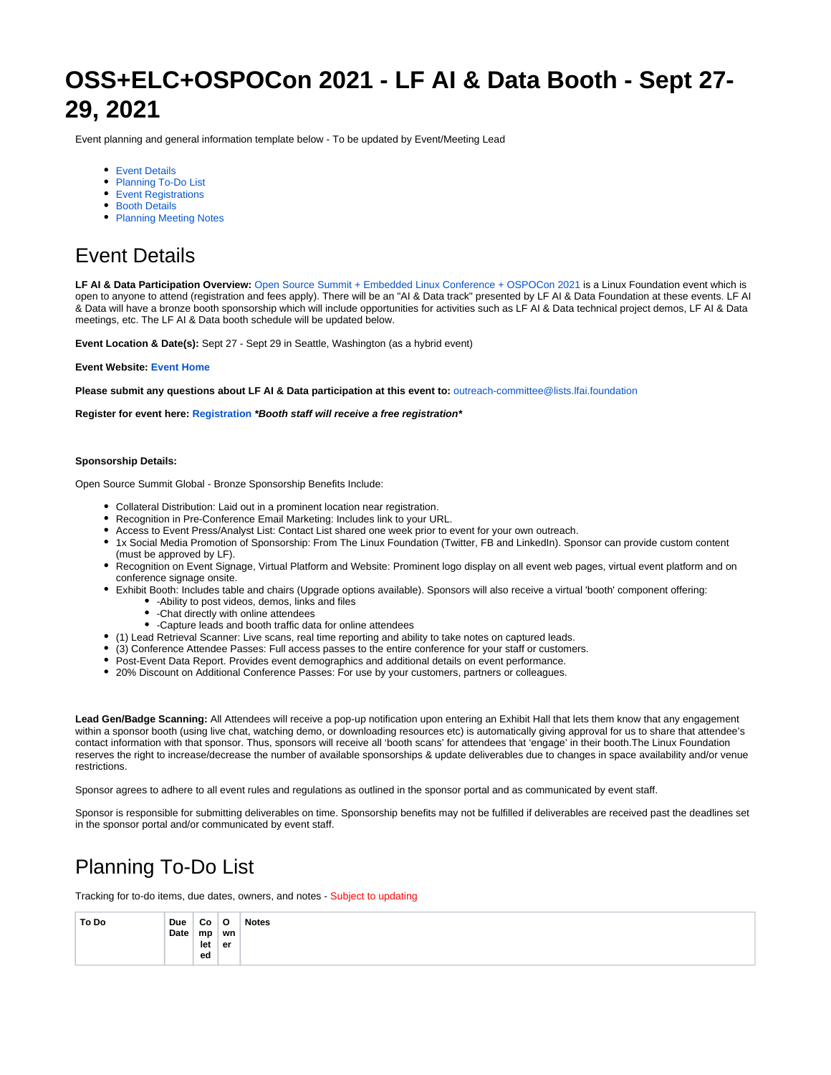# **OSS+ELC+OSPOCon 2021 - LF AI & Data Booth - Sept 27- 29, 2021**

Event planning and general information template below - To be updated by Event/Meeting Lead

- **•** [Event Details](#page-0-0)
- [Planning To-Do List](#page-0-1)
- **[Event Registrations](#page-1-0)**
- [Booth Details](#page-2-0)
- [Planning Meeting Notes](#page-3-0)

## <span id="page-0-0"></span>Event Details

LF AI & Data Participation Overview: [Open Source Summit + Embedded Linux Conference + OSPOCon 2021](https://events.linuxfoundation.org/open-source-summit-north-america/) is a Linux Foundation event which is open to anyone to attend (registration and fees apply). There will be an "AI & Data track" presented by LF AI & Data Foundation at these events. LF AI & Data will have a bronze booth sponsorship which will include opportunities for activities such as LF AI & Data technical project demos, LF AI & Data meetings, etc. The LF AI & Data booth schedule will be updated below.

**Event Location & Date(s):** Sept 27 - Sept 29 in Seattle, Washington (as a hybrid event)

#### **Event Website: [Event Home](https://events.linuxfoundation.org/open-source-summit-north-america/)**

**Please submit any questions about LF AI & Data participation at this event to:** [outreach-committee@lists.lfai.foundation](mailto:outreach-committee@lists.lfai.foundation)

**Register for event here: [Registration](https://events.linuxfoundation.org/open-source-summit-north-america/register/) \*Booth staff will receive a free registration\***

### **Sponsorship Details:**

Open Source Summit Global - Bronze Sponsorship Benefits Include:

- Collateral Distribution: Laid out in a prominent location near registration.
- Recognition in Pre-Conference Email Marketing: Includes link to your URL.
- Access to Event Press/Analyst List: Contact List shared one week prior to event for your own outreach.
- 1x Social Media Promotion of Sponsorship: From The Linux Foundation (Twitter, FB and LinkedIn). Sponsor can provide custom content (must be approved by LF).
- Recognition on Event Signage, Virtual Platform and Website: Prominent logo display on all event web pages, virtual event platform and on conference signage onsite.
- Exhibit Booth: Includes table and chairs (Upgrade options available). Sponsors will also receive a virtual 'booth' component offering:
	- -Ability to post videos, demos, links and files
	- -Chat directly with online attendees
	- -Capture leads and booth traffic data for online attendees
- (1) Lead Retrieval Scanner: Live scans, real time reporting and ability to take notes on captured leads.
- (3) Conference Attendee Passes: Full access passes to the entire conference for your staff or customers.
- Post-Event Data Report. Provides event demographics and additional details on event performance.
- 20% Discount on Additional Conference Passes: For use by your customers, partners or colleagues.

**Lead Gen/Badge Scanning:** All Attendees will receive a pop-up notification upon entering an Exhibit Hall that lets them know that any engagement within a sponsor booth (using live chat, watching demo, or downloading resources etc) is automatically giving approval for us to share that attendee's contact information with that sponsor. Thus, sponsors will receive all 'booth scans' for attendees that 'engage' in their booth.The Linux Foundation reserves the right to increase/decrease the number of available sponsorships & update deliverables due to changes in space availability and/or venue restrictions.

Sponsor agrees to adhere to all event rules and regulations as outlined in the sponsor portal and as communicated by event staff.

Sponsor is responsible for submitting deliverables on time. Sponsorship benefits may not be fulfilled if deliverables are received past the deadlines set in the sponsor portal and/or communicated by event staff.

## <span id="page-0-1"></span>Planning To-Do List

Tracking for to-do items, due dates, owners, and notes - Subject to updating

| To Do | Due  | Co  | $\circ$ | <b>Notes</b> |
|-------|------|-----|---------|--------------|
|       | Date | mp  | wn      |              |
|       |      | let | er      |              |
|       |      | ed  |         |              |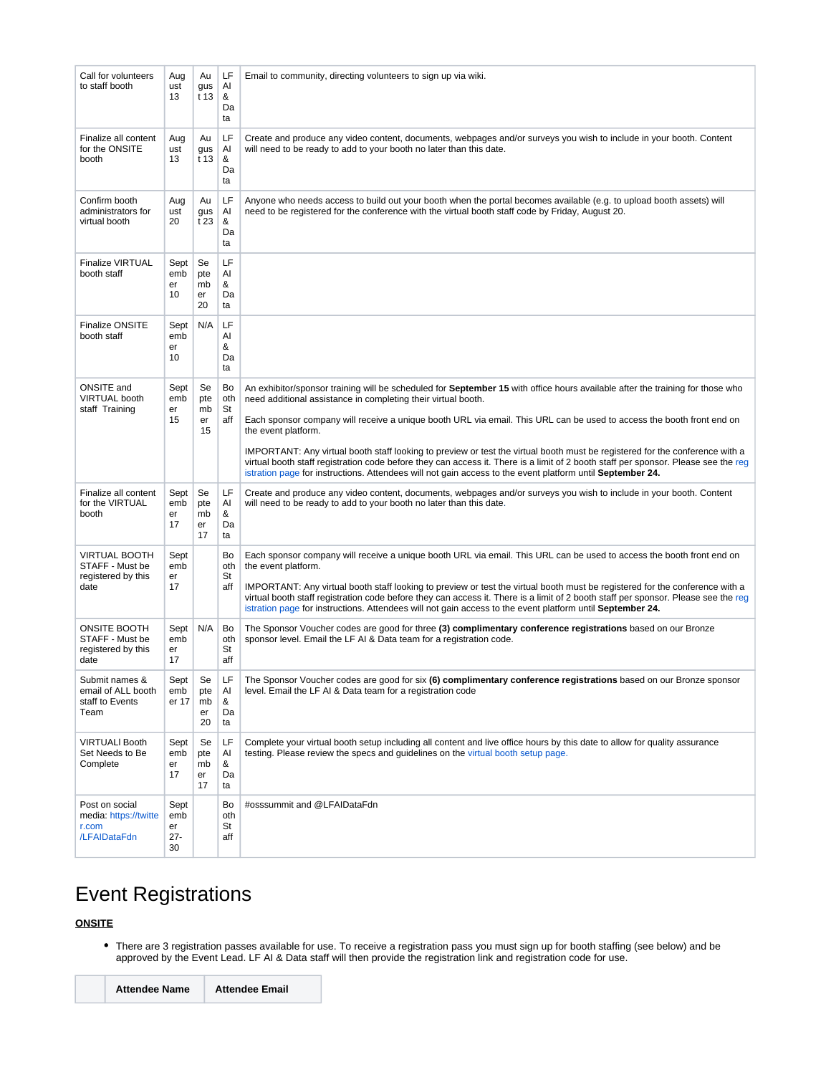| Call for volunteers<br>to staff booth                                 | Aug<br>ust<br>13                  | Au<br>gus<br>t 13           | LF<br>AI<br>&<br>Da<br>ta | Email to community, directing volunteers to sign up via wiki.                                                                                                                                                                                                                                                                                                                                                                                                                                                                                                                                                                                                                                                                     |  |
|-----------------------------------------------------------------------|-----------------------------------|-----------------------------|---------------------------|-----------------------------------------------------------------------------------------------------------------------------------------------------------------------------------------------------------------------------------------------------------------------------------------------------------------------------------------------------------------------------------------------------------------------------------------------------------------------------------------------------------------------------------------------------------------------------------------------------------------------------------------------------------------------------------------------------------------------------------|--|
| Finalize all content<br>for the ONSITE<br>booth                       | Aug<br>ust<br>13                  | Au<br>gus<br>t 13           | LF<br>AI<br>&<br>Da<br>ta | Create and produce any video content, documents, webpages and/or surveys you wish to include in your booth. Content<br>will need to be ready to add to your booth no later than this date.                                                                                                                                                                                                                                                                                                                                                                                                                                                                                                                                        |  |
| Confirm booth<br>administrators for<br>virtual booth                  | Aug<br>ust<br>20                  | Au<br>gus<br>t 23           | LF<br>Al<br>&<br>Da<br>ta | Anyone who needs access to build out your booth when the portal becomes available (e.g. to upload booth assets) will<br>need to be registered for the conference with the virtual booth staff code by Friday, August 20.                                                                                                                                                                                                                                                                                                                                                                                                                                                                                                          |  |
| <b>Finalize VIRTUAL</b><br>booth staff                                | Sept<br>emb<br>er<br>10           | Se<br>pte<br>mb<br>er<br>20 | LF<br>AI<br>&<br>Da<br>ta |                                                                                                                                                                                                                                                                                                                                                                                                                                                                                                                                                                                                                                                                                                                                   |  |
| <b>Finalize ONSITE</b><br>booth staff                                 | Sept<br>emb<br>er<br>10           | N/A                         | LF<br>Al<br>&<br>Da<br>ta |                                                                                                                                                                                                                                                                                                                                                                                                                                                                                                                                                                                                                                                                                                                                   |  |
| ONSITE and<br><b>VIRTUAL booth</b><br>staff Training                  | Sept<br>emb<br>er<br>15           | Se<br>pte<br>mb<br>er<br>15 | Bo<br>oth<br>St<br>aff    | An exhibitor/sponsor training will be scheduled for September 15 with office hours available after the training for those who<br>need additional assistance in completing their virtual booth.<br>Each sponsor company will receive a unique booth URL via email. This URL can be used to access the booth front end on<br>the event platform.<br>IMPORTANT: Any virtual booth staff looking to preview or test the virtual booth must be registered for the conference with a<br>virtual booth staff registration code before they can access it. There is a limit of 2 booth staff per sponsor. Please see the reg<br>istration page for instructions. Attendees will not gain access to the event platform until September 24. |  |
| Finalize all content<br>for the VIRTUAL<br>booth                      | Sept<br>emb<br>er<br>17           | Se<br>pte<br>mb<br>er<br>17 | LF<br>AI<br>&<br>Da<br>ta | Create and produce any video content, documents, webpages and/or surveys you wish to include in your booth. Content<br>will need to be ready to add to your booth no later than this date.                                                                                                                                                                                                                                                                                                                                                                                                                                                                                                                                        |  |
| <b>VIRTUAL BOOTH</b><br>STAFF - Must be<br>registered by this<br>date | Sept<br>emb<br>er<br>17           |                             | Bo<br>oth<br>St<br>aff    | Each sponsor company will receive a unique booth URL via email. This URL can be used to access the booth front end on<br>the event platform.<br>IMPORTANT: Any virtual booth staff looking to preview or test the virtual booth must be registered for the conference with a<br>virtual booth staff registration code before they can access it. There is a limit of 2 booth staff per sponsor. Please see the reg<br>istration page for instructions. Attendees will not gain access to the event platform until September 24.                                                                                                                                                                                                   |  |
| <b>ONSITE BOOTH</b><br>STAFF - Must be<br>registered by this<br>date  | Sept<br>emb<br>er<br>17           | N/A                         | Bo<br>oth<br>St<br>aff    | The Sponsor Voucher codes are good for three (3) complimentary conference registrations based on our Bronze<br>sponsor level. Email the LF AI & Data team for a registration code.                                                                                                                                                                                                                                                                                                                                                                                                                                                                                                                                                |  |
| Submit names &<br>email of ALL booth<br>staff to Events<br>Team       | Sept<br>emb<br>er 17              | Se<br>pte<br>mb<br>er<br>20 | LF<br>Al<br>&<br>Da<br>ta | The Sponsor Voucher codes are good for six (6) complimentary conference registrations based on our Bronze sponsor<br>level. Email the LF AI & Data team for a registration code                                                                                                                                                                                                                                                                                                                                                                                                                                                                                                                                                   |  |
| <b>VIRTUALI Booth</b><br>Set Needs to Be<br>Complete                  | Sept<br>emb<br>er<br>17           | Se<br>pte<br>mb<br>er<br>17 | LF<br>Al<br>&<br>Da<br>ta | Complete your virtual booth setup including all content and live office hours by this date to allow for quality assurance<br>testing. Please review the specs and guidelines on the virtual booth setup page.                                                                                                                                                                                                                                                                                                                                                                                                                                                                                                                     |  |
| Post on social<br>media: https://twitte<br>r.com<br>/LFAIDataFdn      | Sept<br>emb<br>er<br>$27 -$<br>30 |                             | Bo<br>oth<br>St<br>aff    | #osssummit and @LFAIDataFdn                                                                                                                                                                                                                                                                                                                                                                                                                                                                                                                                                                                                                                                                                                       |  |

## <span id="page-1-0"></span>Event Registrations

### **ONSITE**

There are 3 registration passes available for use. To receive a registration pass you must sign up for booth staffing (see below) and be approved by the Event Lead. LF AI & Data staff will then provide the registration link and registration code for use.

| <b>Attendee Name</b> | <b>Attendee Email</b> |
|----------------------|-----------------------|
|                      |                       |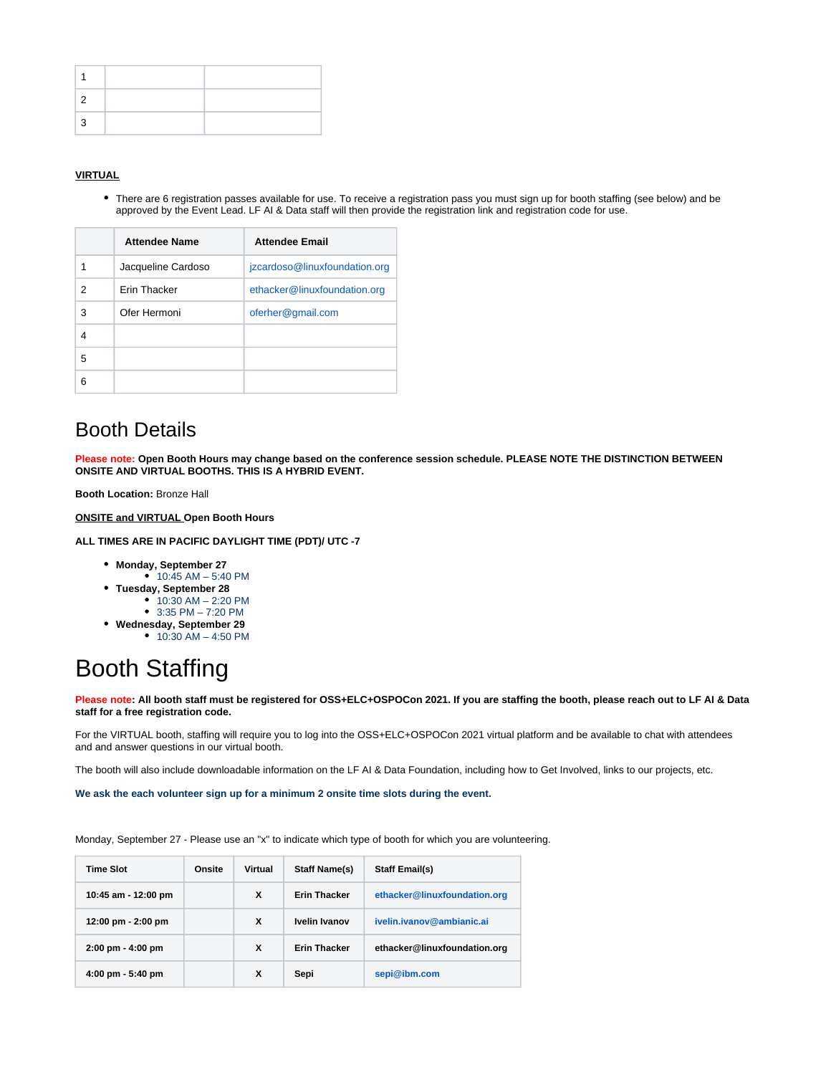### **VIRTUAL**

There are 6 registration passes available for use. To receive a registration pass you must sign up for booth staffing (see below) and be approved by the Event Lead. LF AI & Data staff will then provide the registration link and registration code for use.

|   | <b>Attendee Name</b> | <b>Attendee Email</b>         |  |
|---|----------------------|-------------------------------|--|
|   | Jacqueline Cardoso   | jzcardoso@linuxfoundation.org |  |
| 2 | <b>Frin Thacker</b>  | ethacker@linuxfoundation.org  |  |
| 3 | Ofer Hermoni         | oferher@gmail.com             |  |
| 4 |                      |                               |  |
| 5 |                      |                               |  |
| 6 |                      |                               |  |

### <span id="page-2-0"></span>Booth Details

**Please note: Open Booth Hours may change based on the conference session schedule. PLEASE NOTE THE DISTINCTION BETWEEN ONSITE AND VIRTUAL BOOTHS. THIS IS A HYBRID EVENT.**

**Booth Location:** Bronze Hall

**ONSITE and VIRTUAL Open Booth Hours** 

**ALL TIMES ARE IN PACIFIC DAYLIGHT TIME (PDT)/ UTC -7**

- **Monday, September 27**
- 10:45 AM 5:40 PM
- **Tuesday, September 28**
	- 10:30 AM 2:20 PM 3:35 PM – 7:20 PM
- **Wednesday, September 29**
	- 10:30 AM 4:50 PM

# Booth Staffing

**Please note: All booth staff must be registered for OSS+ELC+OSPOCon 2021. If you are staffing the booth, please reach out to LF AI & Data staff for a free registration code.** 

For the VIRTUAL booth, staffing will require you to log into the OSS+ELC+OSPOCon 2021 virtual platform and be available to chat with attendees and and answer questions in our virtual booth.

The booth will also include downloadable information on the LF AI & Data Foundation, including how to Get Involved, links to our projects, etc.

**We ask the each volunteer sign up for a minimum 2 onsite time slots during the event.**

Monday, September 27 - Please use an "x" to indicate which type of booth for which you are volunteering.

| <b>Time Slot</b>                    | Onsite | Virtual | <b>Staff Name(s)</b> | <b>Staff Email(s)</b>        |
|-------------------------------------|--------|---------|----------------------|------------------------------|
| 10:45 am - 12:00 pm                 |        | X       | <b>Erin Thacker</b>  | ethacker@linuxfoundation.org |
| 12:00 pm - 2:00 pm                  |        | X       | Ivelin Ivanov        | ivelin.ivanov@ambianic.ai    |
| $2:00 \text{ pm} - 4:00 \text{ pm}$ |        | x       | <b>Erin Thacker</b>  | ethacker@linuxfoundation.org |
| $4:00 \text{ pm} - 5:40 \text{ pm}$ |        | x       | Sepi                 | sepi@ibm.com                 |